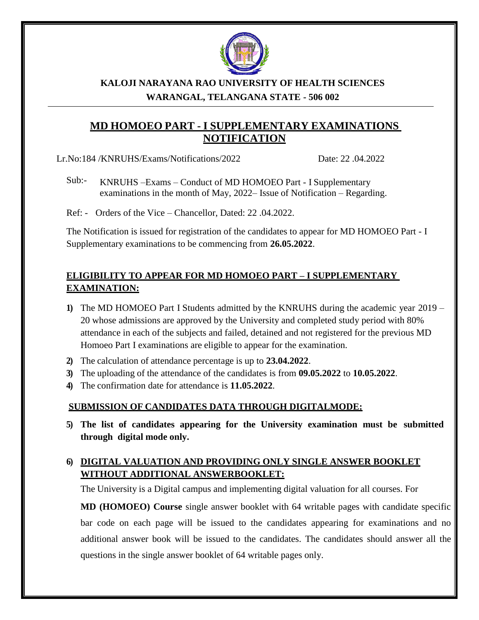

#### **KALOJI NARAYANA RAO UNIVERSITY OF HEALTH SCIENCES WARANGAL, TELANGANA STATE - 506 002**

# **MD HOMOEO PART - I SUPPLEMENTARY EXAMINATIONS NOTIFICATION**

Lr.No:184 /KNRUHS/Exams/Notifications/2022 Date: 22 .04.2022

Sub:- KNRUHS –Exams – Conduct of MD HOMOEO Part - I Supplementary examinations in the month of May, 2022– Issue of Notification – Regarding.

Ref: - Orders of the Vice – Chancellor, Dated: 22 .04.2022.

The Notification is issued for registration of the candidates to appear for MD HOMOEO Part - I Supplementary examinations to be commencing from **26.05.2022**.

## **ELIGIBILITY TO APPEAR FOR MD HOMOEO PART – I SUPPLEMENTARY EXAMINATION:**

- **1)** The MD HOMOEO Part I Students admitted by the KNRUHS during the academic year 2019 20 whose admissions are approved by the University and completed study period with 80% attendance in each of the subjects and failed, detained and not registered for the previous MD Homoeo Part I examinations are eligible to appear for the examination.
- **2)** The calculation of attendance percentage is up to **23.04.2022**.
- **3)** The uploading of the attendance of the candidates is from **09.05.2022** to **10.05.2022**.
- **4)** The confirmation date for attendance is **11.05.2022**.

#### **SUBMISSION OF CANDIDATES DATA THROUGH DIGITALMODE:**

**5) The list of candidates appearing for the University examination must be submitted through digital mode only.**

### **6) DIGITAL VALUATION AND PROVIDING ONLY SINGLE ANSWER BOOKLET WITHOUT ADDITIONAL ANSWERBOOKLET:**

The University is a Digital campus and implementing digital valuation for all courses. For

**MD (HOMOEO) Course** single answer booklet with 64 writable pages with candidate specific bar code on each page will be issued to the candidates appearing for examinations and no additional answer book will be issued to the candidates. The candidates should answer all the questions in the single answer booklet of 64 writable pages only.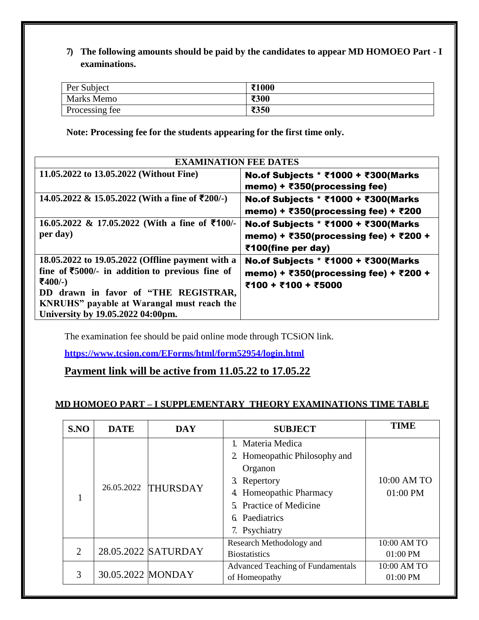**7) The following amounts should be paid by the candidates to appear MD HOMOEO Part - I examinations.**

| Per Subject    | ₹1000 |
|----------------|-------|
| Marks Memo     | ₹300  |
| Processing fee | ₹350  |

**Note: Processing fee for the students appearing for the first time only.**

| <b>EXAMINATION FEE DATES</b>                                                                                                                                                                                                                                    |                                                                                                     |  |  |
|-----------------------------------------------------------------------------------------------------------------------------------------------------------------------------------------------------------------------------------------------------------------|-----------------------------------------------------------------------------------------------------|--|--|
| 11.05.2022 to 13.05.2022 (Without Fine)                                                                                                                                                                                                                         | No.of Subjects * ₹1000 + ₹300(Marks<br>memo) + $\overline{\epsilon}$ 350(processing fee)            |  |  |
| 14.05.2022 & 15.05.2022 (With a fine of ₹200/-)                                                                                                                                                                                                                 | No.of Subjects * ₹1000 + ₹300(Marks<br>memo) + ₹350(processing fee) + ₹200                          |  |  |
| 16.05.2022 & 17.05.2022 (With a fine of $\text{\textsterling}100/-$<br>per day)                                                                                                                                                                                 | No.of Subjects * ₹1000 + ₹300(Marks<br>memo) + ₹350(processing fee) + ₹200 +<br>₹100(fine per day)  |  |  |
| 18.05.2022 to 19.05.2022 (Offline payment with a<br>fine of $\text{\textsterling}5000$ /- in addition to previous fine of<br>₹400/-)<br>DD drawn in favor of "THE REGISTRAR,<br>KNRUHS" payable at Warangal must reach the<br>University by 19.05.2022 04:00pm. | No.of Subjects * ₹1000 + ₹300(Marks<br>memo) + ₹350(processing fee) + ₹200 +<br>₹100 + ₹100 + ₹5000 |  |  |

The examination fee should be paid online mode through TCSiON link.

**htt[ps://www.](http://www.tcsion.com/EForms/html/form52954/login.html)t[csion.com/EForms/html/form52954/login.html](http://www.tcsion.com/EForms/html/form52954/login.html)**

**Payment link will be active from 11.05.22 to 17.05.22**

#### **MD HOMOEO PART – I SUPPLEMENTARY THEORY EXAMINATIONS TIME TABLE**

| S.NO           | <b>DATE</b>       | <b>DAY</b>          | <b>SUBJECT</b>                                                                                                                                                            | <b>TIME</b>             |
|----------------|-------------------|---------------------|---------------------------------------------------------------------------------------------------------------------------------------------------------------------------|-------------------------|
|                |                   | 26.05.2022 THURSDAY | 1. Materia Medica<br>2. Homeopathic Philosophy and<br>Organon<br>Repertory<br>3.<br>4. Homeopathic Pharmacy<br>5. Practice of Medicine<br>6. Paediatrics<br>7. Psychiatry | 10:00 AM TO<br>01:00 PM |
| $\overline{2}$ |                   | 28.05.2022 SATURDAY | Research Methodology and<br><b>Biostatistics</b>                                                                                                                          | 10:00 AM TO<br>01:00 PM |
| 3              | 30.05.2022 MONDAY |                     | <b>Advanced Teaching of Fundamentals</b><br>of Homeopathy                                                                                                                 | 10:00 AM TO<br>01:00 PM |